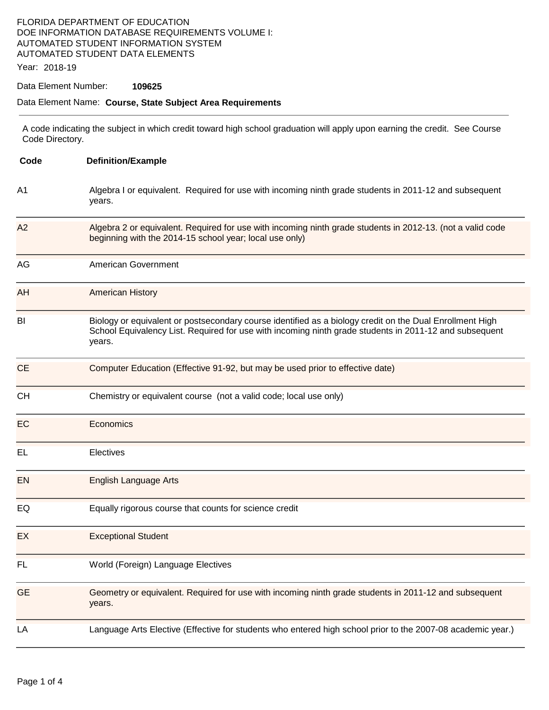### FLORIDA DEPARTMENT OF EDUCATION DOE INFORMATION DATABASE REQUIREMENTS VOLUME I: AUTOMATED STUDENT INFORMATION SYSTEM AUTOMATED STUDENT DATA ELEMENTS

Year: 2018-19

#### Data Element Number: **109625**

#### Data Element Name: **Course, State Subject Area Requirements**

A code indicating the subject in which credit toward high school graduation will apply upon earning the credit. See Course Code Directory.

| Code      | <b>Definition/Example</b><br>Algebra I or equivalent. Required for use with incoming ninth grade students in 2011-12 and subsequent<br>years.                                                                                |  |  |  |
|-----------|------------------------------------------------------------------------------------------------------------------------------------------------------------------------------------------------------------------------------|--|--|--|
| A1        |                                                                                                                                                                                                                              |  |  |  |
| A2        | Algebra 2 or equivalent. Required for use with incoming ninth grade students in 2012-13. (not a valid code<br>beginning with the 2014-15 school year; local use only)                                                        |  |  |  |
| AG        | American Government                                                                                                                                                                                                          |  |  |  |
| AH        | <b>American History</b>                                                                                                                                                                                                      |  |  |  |
| BI        | Biology or equivalent or postsecondary course identified as a biology credit on the Dual Enrollment High<br>School Equivalency List. Required for use with incoming ninth grade students in 2011-12 and subsequent<br>years. |  |  |  |
| <b>CE</b> | Computer Education (Effective 91-92, but may be used prior to effective date)                                                                                                                                                |  |  |  |
| <b>CH</b> | Chemistry or equivalent course (not a valid code; local use only)                                                                                                                                                            |  |  |  |
| EC        | Economics                                                                                                                                                                                                                    |  |  |  |
| EL        | Electives                                                                                                                                                                                                                    |  |  |  |
| EN        | <b>English Language Arts</b>                                                                                                                                                                                                 |  |  |  |
| EQ        | Equally rigorous course that counts for science credit                                                                                                                                                                       |  |  |  |
| EX        | <b>Exceptional Student</b>                                                                                                                                                                                                   |  |  |  |
| FL        | World (Foreign) Language Electives                                                                                                                                                                                           |  |  |  |
| <b>GE</b> | Geometry or equivalent. Required for use with incoming ninth grade students in 2011-12 and subsequent<br>years.                                                                                                              |  |  |  |
| LA        | Language Arts Elective (Effective for students who entered high school prior to the 2007-08 academic year.)                                                                                                                  |  |  |  |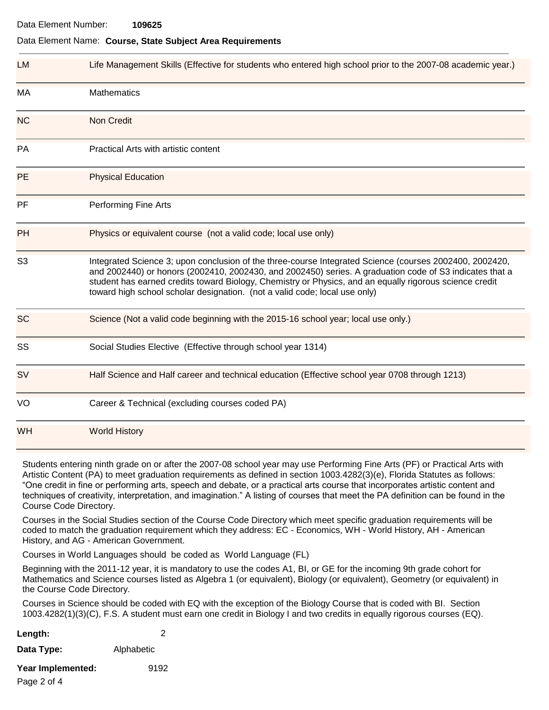#### Data Element Name: **Course, State Subject Area Requirements**

| <b>LM</b>      | Life Management Skills (Effective for students who entered high school prior to the 2007-08 academic year.)                                                                                                                                                                                                                                                                                                 |  |
|----------------|-------------------------------------------------------------------------------------------------------------------------------------------------------------------------------------------------------------------------------------------------------------------------------------------------------------------------------------------------------------------------------------------------------------|--|
| MA             | <b>Mathematics</b>                                                                                                                                                                                                                                                                                                                                                                                          |  |
| <b>NC</b>      | <b>Non Credit</b>                                                                                                                                                                                                                                                                                                                                                                                           |  |
| PA             | Practical Arts with artistic content                                                                                                                                                                                                                                                                                                                                                                        |  |
| <b>PE</b>      | <b>Physical Education</b>                                                                                                                                                                                                                                                                                                                                                                                   |  |
| PF             | <b>Performing Fine Arts</b>                                                                                                                                                                                                                                                                                                                                                                                 |  |
| <b>PH</b>      | Physics or equivalent course (not a valid code; local use only)                                                                                                                                                                                                                                                                                                                                             |  |
| S <sub>3</sub> | Integrated Science 3; upon conclusion of the three-course Integrated Science (courses 2002400, 2002420,<br>and 2002440) or honors (2002410, 2002430, and 2002450) series. A graduation code of S3 indicates that a<br>student has earned credits toward Biology, Chemistry or Physics, and an equally rigorous science credit<br>toward high school scholar designation. (not a valid code; local use only) |  |
| <b>SC</b>      | Science (Not a valid code beginning with the 2015-16 school year; local use only.)                                                                                                                                                                                                                                                                                                                          |  |
| SS             | Social Studies Elective (Effective through school year 1314)                                                                                                                                                                                                                                                                                                                                                |  |
| <b>SV</b>      | Half Science and Half career and technical education (Effective school year 0708 through 1213)                                                                                                                                                                                                                                                                                                              |  |
| VO             | Career & Technical (excluding courses coded PA)                                                                                                                                                                                                                                                                                                                                                             |  |
| <b>WH</b>      | <b>World History</b>                                                                                                                                                                                                                                                                                                                                                                                        |  |

Students entering ninth grade on or after the 2007-08 school year may use Performing Fine Arts (PF) or Practical Arts with Artistic Content (PA) to meet graduation requirements as defined in section 1003.4282(3)(e), Florida Statutes as follows: "One credit in fine or performing arts, speech and debate, or a practical arts course that incorporates artistic content and techniques of creativity, interpretation, and imagination." A listing of courses that meet the PA definition can be found in the Course Code Directory.

Courses in the Social Studies section of the Course Code Directory which meet specific graduation requirements will be coded to match the graduation requirement which they address: EC - Economics, WH - World History, AH - American History, and AG - American Government.

Courses in World Languages should be coded as World Language (FL)

Beginning with the 2011-12 year, it is mandatory to use the codes A1, BI, or GE for the incoming 9th grade cohort for Mathematics and Science courses listed as Algebra 1 (or equivalent), Biology (or equivalent), Geometry (or equivalent) in the Course Code Directory.

Courses in Science should be coded with EQ with the exception of the Biology Course that is coded with BI. Section 1003.4282(1)(3)(C), F.S. A student must earn one credit in Biology I and two credits in equally rigorous courses (EQ).

| Length: |  |
|---------|--|
|         |  |

**Data Type:** Alphabetic

**Year Implemented:** 9192

Page 2 of 4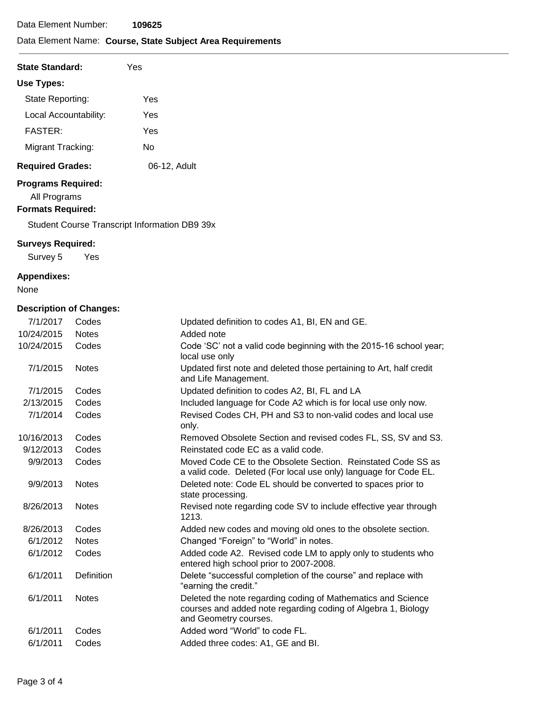# Data Element Name: **Course, State Subject Area Requirements**

| <b>State Standard:</b>  | Yes          |  |
|-------------------------|--------------|--|
| Use Types:              |              |  |
| State Reporting:        | Yes          |  |
| Local Accountability:   | Yes          |  |
| <b>FASTER:</b>          | Yes          |  |
| Migrant Tracking:       | N٥           |  |
| <b>Required Grades:</b> | 06-12, Adult |  |

### **Programs Required:**

All Programs

### **Formats Required:**

Student Course Transcript Information DB9 39x

#### **Surveys Required:**

Survey 5 Yes

### **Appendixes:**

None

# **Description of Changes:**

| 7/1/2017   | Codes             | Updated definition to codes A1, BI, EN and GE.                                                                                                         |
|------------|-------------------|--------------------------------------------------------------------------------------------------------------------------------------------------------|
| 10/24/2015 | <b>Notes</b>      | Added note                                                                                                                                             |
| 10/24/2015 | Codes             | Code 'SC' not a valid code beginning with the 2015-16 school year;<br>local use only                                                                   |
| 7/1/2015   | <b>Notes</b>      | Updated first note and deleted those pertaining to Art, half credit<br>and Life Management.                                                            |
| 7/1/2015   | Codes             | Updated definition to codes A2, BI, FL and LA                                                                                                          |
| 2/13/2015  | Codes             | Included language for Code A2 which is for local use only now.                                                                                         |
| 7/1/2014   | Codes             | Revised Codes CH, PH and S3 to non-valid codes and local use<br>only.                                                                                  |
| 10/16/2013 | Codes             | Removed Obsolete Section and revised codes FL, SS, SV and S3.                                                                                          |
| 9/12/2013  | Codes             | Reinstated code EC as a valid code.                                                                                                                    |
| 9/9/2013   | Codes             | Moved Code CE to the Obsolete Section. Reinstated Code SS as<br>a valid code. Deleted (For local use only) language for Code EL.                       |
| 9/9/2013   | <b>Notes</b>      | Deleted note: Code EL should be converted to spaces prior to<br>state processing.                                                                      |
| 8/26/2013  | <b>Notes</b>      | Revised note regarding code SV to include effective year through<br>1213.                                                                              |
| 8/26/2013  | Codes             | Added new codes and moving old ones to the obsolete section.                                                                                           |
| 6/1/2012   | <b>Notes</b>      | Changed "Foreign" to "World" in notes.                                                                                                                 |
| 6/1/2012   | Codes             | Added code A2. Revised code LM to apply only to students who<br>entered high school prior to 2007-2008.                                                |
| 6/1/2011   | <b>Definition</b> | Delete "successful completion of the course" and replace with<br>"earning the credit."                                                                 |
| 6/1/2011   | <b>Notes</b>      | Deleted the note regarding coding of Mathematics and Science<br>courses and added note regarding coding of Algebra 1, Biology<br>and Geometry courses. |
| 6/1/2011   | Codes             | Added word "World" to code FL.                                                                                                                         |
| 6/1/2011   | Codes             | Added three codes: A1, GE and BI.                                                                                                                      |